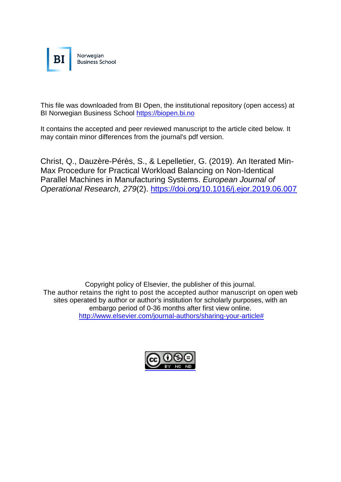

This file was downloaded from BI Open, the institutional repository (open access) at BI Norwegian Business School [https://biopen.bi.no](https://biopen.bi.no/)

It contains the accepted and peer reviewed manuscript to the article cited below. It may contain minor differences from the journal's pdf version.

Christ, Q., Dauzère-Pérès, S., & Lepelletier, G. (2019). An Iterated Min-Max Procedure for Practical Workload Balancing on Non-Identical Parallel Machines in Manufacturing Systems. *European Journal of Operational Research, 279*(2). [https://doi.org/10.1016/j.ejor.2019.06.007](https://doi-org.ezproxy.library.bi.no/10.1016/j.ejor.2019.06.007)

Copyright policy of Elsevier, the publisher of this journal. The author retains the right to post the accepted author manuscript on open web sites operated by author or author's institution for scholarly purposes, with an embargo period of 0-36 months after first view online. [http://www.elsevier.com/journal-authors/sharing-your-article#](http://www.elsevier.com/journal-authors/sharing-your-article)

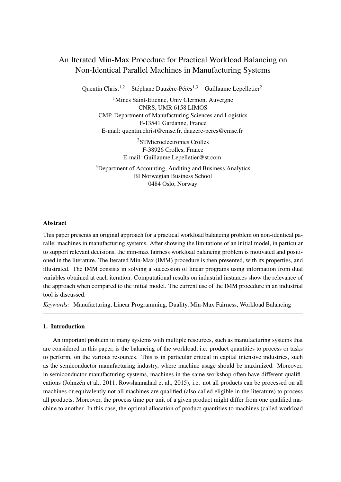# An Iterated Min-Max Procedure for Practical Workload Balancing on Non-Identical Parallel Machines in Manufacturing Systems

Quentin Christ<sup>1,2</sup> Stéphane Dauzère-Pérès<sup>1,3</sup> Guillaume Lepelletier<sup>2</sup>

<sup>1</sup>Mines Saint-Etienne, Univ Clermont Auvergne CNRS, UMR 6158 LIMOS CMP, Department of Manufacturing Sciences and Logistics F-13541 Gardanne, France E-mail: quentin.christ@emse.fr, dauzere-peres@emse.fr

> <sup>2</sup>STMicroelectronics Crolles F-38926 Crolles, France E-mail: Guillaume.Lepelletier@st.com

<sup>3</sup>Department of Accounting, Auditing and Business Analytics BI Norwegian Business School 0484 Oslo, Norway

# Abstract

This paper presents an original approach for a practical workload balancing problem on non-identical parallel machines in manufacturing systems. After showing the limitations of an initial model, in particular to support relevant decisions, the min-max fairness workload balancing problem is motivated and positioned in the literature. The Iterated Min-Max (IMM) procedure is then presented, with its properties, and illustrated. The IMM consists in solving a succession of linear programs using information from dual variables obtained at each iteration. Computational results on industrial instances show the relevance of the approach when compared to the initial model. The current use of the IMM procedure in an industrial tool is discussed.

*Keywords:* Manufacturing, Linear Programming, Duality, Min-Max Fairness, Workload Balancing

# 1. Introduction

An important problem in many systems with multiple resources, such as manufacturing systems that are considered in this paper, is the balancing of the workload, i.e. product quantities to process or tasks to perform, on the various resources. This is in particular critical in capital intensive industries, such as the semiconductor manufacturing industry, where machine usage should be maximized. Moreover, in semiconductor manufacturing systems, machines in the same workshop often have different qualifications (Johnzén et al., 2011; Rowshannahad et al., 2015), i.e. not all products can be processed on all machines or equivalently not all machines are qualified (also called eligible in the literature) to process all products. Moreover, the process time per unit of a given product might differ from one qualified machine to another. In this case, the optimal allocation of product quantities to machines (called workload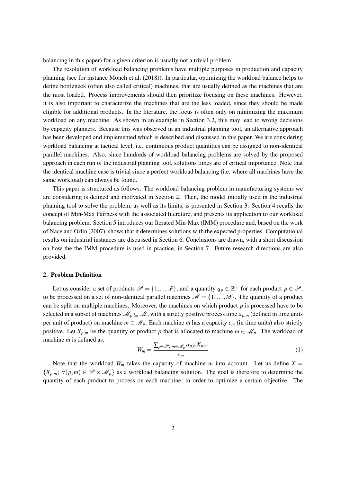balancing in this paper) for a given criterion is usually not a trivial problem.

The resolution of workload balancing problems have multiple purposes in production and capacity planning (see for instance Mönch et al. (2018)). In particular, optimizing the workload balance helps to define bottleneck (often also called critical) machines, that are usually defined as the machines that are the most loaded. Process improvements should then prioritize focusing on these machines. However, it is also important to characterize the machines that are the less loaded, since they should be made eligible for additional products. In the literature, the focus is often only on minimizing the maximum workload on any machine. As shown in an example in Section 3.2, this may lead to wrong decisions by capacity planners. Because this was observed in an industrial planning tool, an alternative approach has been developed and implemented which is described and discussed in this paper. We are considering workload balancing at tactical level, i.e. continuous product quantities can be assigned to non-identical parallel machines. Also, since hundreds of workload balancing problems are solved by the proposed approach in each run of the industrial planning tool, solutions times are of critical importance. Note that the identical machine case is trivial since a perfect workload balancing (i.e. where all machines have the same workload) can always be found.

This paper is structured as follows. The workload balancing problem in manufacturing systems we are considering is defined and motivated in Section 2. Then, the model initially used in the industrial planning tool to solve the problem, as well as its limits, is presented in Section 3. Section 4 recalls the concept of Min-Max Fairness with the associated literature, and presents its application to our workload balancing problem. Section 5 introduces our Iterated Min-Max (IMM) procedure and, based on the work of Nace and Orlin (2007), shows that it determines solutions with the expected properties. Computational results on industrial instances are discussed in Section 6. Conclusions are drawn, with a short discussion on how the the IMM procedure is used in practice, in Section 7. Future research directions are also provided.

### 2. Problem Definition

Let us consider a set of products  $\mathscr{P} = \{1, ..., P\}$ , and a quantity  $q_p \in \mathbb{R}^+$  for each product  $p \in \mathscr{P}$ , to be processed on a set of non-identical parallel machines  $\mathcal{M} = \{1, ..., M\}$ . The quantity of a product can be split on multiple machines. Moreover, the machines on which product *p* is processed have to be selected in a subset of machines  $\mathcal{M}_p \subseteq \mathcal{M}$ , with a strictly positive process time  $a_{p,m}$  (defined in time units per unit of product) on machine  $m \in \mathcal{M}_p$ . Each machine *m* has a capacity  $c_m$  (in time units) also strictly positive. Let  $X_{p,m}$  be the quantity of product p that is allocated to machine  $m \in \mathcal{M}_p$ . The workload of machine *m* is defined as:

$$
W_m = \frac{\sum_{p \in \mathcal{P}; \, m \in \mathcal{M}_p} a_{p,m} X_{p,m}}{c_m} \tag{1}
$$

Note that the workload  $W_m$  takes the capacity of machine *m* into account. Let us define  $X =$  ${X_{p,m}}$ ;  $\forall (p,m) \in \mathscr{P} \times \mathscr{M}_p$  as a workload balancing solution. The goal is therefore to determine the quantity of each product to process on each machine, in order to optimize a certain objective. The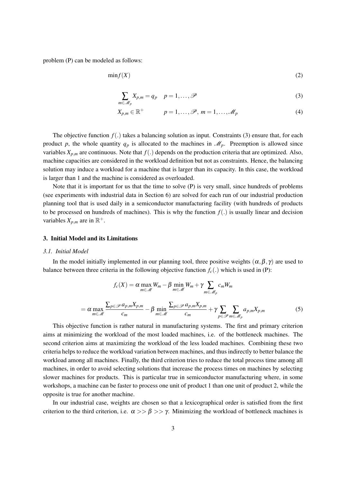problem (P) can be modeled as follows:

$$
\min f(X) \tag{2}
$$

$$
\sum_{m \in \mathcal{M}_p} X_{p,m} = q_p \quad p = 1, \dots, \mathcal{P}
$$
\n(3)

$$
X_{p,m} \in \mathbb{R}^+ \qquad p = 1, \dots, \mathscr{P}, m = 1, \dots, \mathscr{M}_p \tag{4}
$$

The objective function  $f(.)$  takes a balancing solution as input. Constraints (3) ensure that, for each product *p*, the whole quantity  $q_p$  is allocated to the machines in  $\mathcal{M}_p$ . Preemption is allowed since variables  $X_{p,m}$  are continuous. Note that  $f(.)$  depends on the production criteria that are optimized. Also, machine capacities are considered in the workload definition but not as constraints. Hence, the balancing solution may induce a workload for a machine that is larger than its capacity. In this case, the workload is larger than 1 and the machine is considered as overloaded.

Note that it is important for us that the time to solve (P) is very small, since hundreds of problems (see experiments with industrial data in Section 6) are solved for each run of our industrial production planning tool that is used daily in a semiconductor manufacturing facility (with hundreds of products to be processed on hundreds of machines). This is why the function  $f(.)$  is usually linear and decision variables  $X_{p,m}$  are in  $\mathbb{R}^+$ .

### 3. Initial Model and its Limitations

### *3.1. Initial Model*

In the model initially implemented in our planning tool, three positive weights  $(\alpha, \beta, \gamma)$  are used to balance between three criteria in the following objective function  $f_c(.)$  which is used in (P):

$$
f_c(X) = \alpha \max_{m \in \mathcal{M}} W_m - \beta \min_{m \in \mathcal{M}} W_m + \gamma \sum_{m \in \mathcal{M}_p} c_m W_m
$$

$$
= \alpha \max_{m \in \mathcal{M}} \frac{\sum_{p \in \mathcal{P}} a_{p,m} X_{p,m}}{c_m} - \beta \min_{m \in \mathcal{M}} \frac{\sum_{p \in \mathcal{P}} a_{p,m} X_{p,m}}{c_m} + \gamma \sum_{p \in \mathcal{P}} \sum_{m \in \mathcal{M}_p} a_{p,m} X_{p,m} \tag{5}
$$

This objective function is rather natural in manufacturing systems. The first and primary criterion aims at minimizing the workload of the most loaded machines, i.e. of the bottleneck machines. The second criterion aims at maximizing the workload of the less loaded machines. Combining these two criteria helps to reduce the workload variation between machines, and thus indirectly to better balance the workload among all machines. Finally, the third criterion tries to reduce the total process time among all machines, in order to avoid selecting solutions that increase the process times on machines by selecting slower machines for products. This is particular true in semiconductor manufacturing where, in some workshops, a machine can be faster to process one unit of product 1 than one unit of product 2, while the opposite is true for another machine.

In our industrial case, weights are chosen so that a lexicographical order is satisfied from the first criterion to the third criterion, i.e.  $\alpha \gg \beta \gg \gamma$ . Minimizing the workload of bottleneck machines is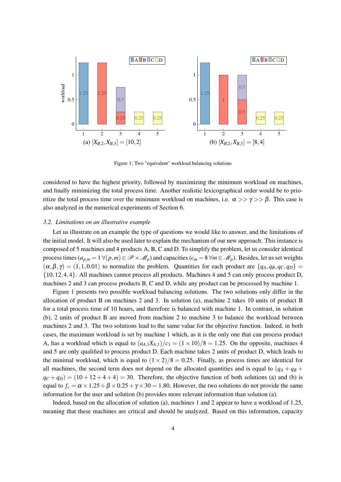

Figure 1: Two "equivalent" workload balancing solutions

considered to have the highest priority, followed by maximizing the minimum workload on machines, and finally minimizing the total process time. Another realistic lexicographical order would be to prioritize the total process time over the minimum workload on machines, i.e.  $\alpha >> \gamma >> \beta$ . This case is also analyzed in the numerical experiments of Section 6.

# *3.2. Limitations on an illustrative example*

Let us illustrate on an example the type of questions we would like to answer, and the limitations of the initial model. It will also be used later to explain the mechanism of our new approach. This instance is composed of 5 machines and 4 products A, B, C and D. To simplify the problem, let us consider identical process times  $(a_{p,m} = 1 \forall (p,m) \in \mathcal{P} \times \mathcal{M}_p)$  and capacities  $(c_m = 8 \forall m \in \mathcal{M}_p)$ . Besides, let us set weights  $(\alpha, \beta, \gamma) = (1, 1, 0.01)$  to normalize the problem. Quantities for each product are  $\{q_A, q_B, q_C, q_D\}$ {10,12,4,4}. All machines cannot process all products. Machines 4 and 5 can only process product D, machines 2 and 3 can process products B, C and D, while any product can be processed by machine 1.

Figure 1 presents two possible workload balancing solutions. The two solutions only differ in the allocation of product B on machines 2 and 3. In solution (a), machine 2 takes 10 units of product B for a total process time of 10 hours, and therefore is balanced with machine 1. In contrast, in solution (b), 2 units of product B are moved from machine 2 to machine 3 to balance the workload between machines 2 and 3. The two solutions lead to the same value for the objective function. Indeed, in both cases, the maximum workload is set by machine 1 which, as it is the only one that can process product A, has a workload which is equal to  $(a_{A1}X_{A1})/c_1 = (1 \times 10)/8 = 1.25$ . On the opposite, machines 4 and 5 are only qualified to process product D. Each machine takes 2 units of product D, which leads to the minimal workload, which is equal to  $(1 \times 2)/8 = 0.25$ . Finally, as process times are identical for all machines, the second term does not depend on the allocated quantities and is equal to  $(q_A + q_B + q_B)$  $q_C + q_D$  = (10 + 12 + 4 + 4) = 30. Therefore, the objective function of both solutions (a) and (b) is equal to  $f_c = \alpha \times 1.25 + \beta \times 0.25 + \gamma \times 30 = 1.80$ . However, the two solutions do not provide the same information for the user and solution (b) provides more relevant information than solution (a).

Indeed, based on the allocation of solution (a), machines 1 and 2 appear to have a workload of 1.25, meaning that these machines are critical and should be analyzed. Based on this information, capacity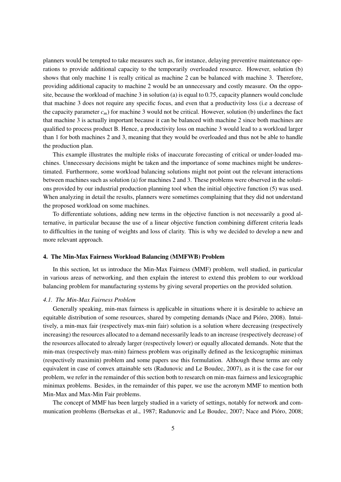planners would be tempted to take measures such as, for instance, delaying preventive maintenance operations to provide additional capacity to the temporarily overloaded resource. However, solution (b) shows that only machine 1 is really critical as machine 2 can be balanced with machine 3. Therefore, providing additional capacity to machine 2 would be an unnecessary and costly measure. On the opposite, because the workload of machine 3 in solution (a) is equal to 0.75, capacity planners would conclude that machine 3 does not require any specific focus, and even that a productivity loss (i.e a decrease of the capacity parameter  $c_m$ ) for machine 3 would not be critical. However, solution (b) underlines the fact that machine 3 is actually important because it can be balanced with machine 2 since both machines are qualified to process product B. Hence, a productivity loss on machine 3 would lead to a workload larger than 1 for both machines 2 and 3, meaning that they would be overloaded and thus not be able to handle the production plan.

This example illustrates the multiple risks of inaccurate forecasting of critical or under-loaded machines. Unnecessary decisions might be taken and the importance of some machines might be underestimated. Furthermore, some workload balancing solutions might not point out the relevant interactions between machines such as solution (a) for machines 2 and 3. These problems were observed in the solutions provided by our industrial production planning tool when the initial objective function (5) was used. When analyzing in detail the results, planners were sometimes complaining that they did not understand the proposed workload on some machines.

To differentiate solutions, adding new terms in the objective function is not necessarily a good alternative, in particular because the use of a linear objective function combining different criteria leads to difficulties in the tuning of weights and loss of clarity. This is why we decided to develop a new and more relevant approach.

### 4. The Min-Max Fairness Workload Balancing (MMFWB) Problem

In this section, let us introduce the Min-Max Fairness (MMF) problem, well studied, in particular in various areas of networking, and then explain the interest to extend this problem to our workload balancing problem for manufacturing systems by giving several properties on the provided solution.

### *4.1. The Min-Max Fairness Problem*

Generally speaking, min-max fairness is applicable in situations where it is desirable to achieve an equitable distribution of some resources, shared by competing demands (Nace and Pióro, 2008). Intuitively, a min-max fair (respectively max-min fair) solution is a solution where decreasing (respectively increasing) the resources allocated to a demand necessarily leads to an increase (respectively decrease) of the resources allocated to already larger (respectively lower) or equally allocated demands. Note that the min-max (respectively max-min) fairness problem was originally defined as the lexicographic minimax (respectively maximin) problem and some papers use this formulation. Although these terms are only equivalent in case of convex attainable sets (Radunovic and Le Boudec, 2007), as it is the case for our problem, we refer in the remainder of this section both to research on min-max fairness and lexicographic minimax problems. Besides, in the remainder of this paper, we use the acronym MMF to mention both Min-Max and Max-Min Fair problems.

The concept of MMF has been largely studied in a variety of settings, notably for network and communication problems (Bertsekas et al., 1987; Radunovic and Le Boudec, 2007; Nace and Pióro, 2008;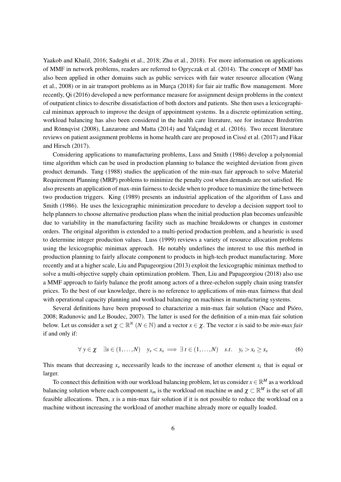Yaakob and Khalil, 2016; Sadeghi et al., 2018; Zhu et al., 2018). For more information on applications of MMF in network problems, readers are referred to Ogryczak et al. (2014). The concept of MMF has also been applied in other domains such as public services with fair water resource allocation (Wang et al., 2008) or in air transport problems as in Murça (2018) for fair air traffic flow management. More recently, Qi (2016) developed a new performance measure for assignment design problems in the context of outpatient clinics to describe dissatisfaction of both doctors and patients. She then uses a lexicographical minimax approach to improve the design of appointment systems. In a discrete optimization setting, workload balancing has also been considered in the health care literature, see for instance Bredström and Rönnqvist (2008), Lanzarone and Matta (2014) and Yalcındağ et al. (2016). Two recent literature reviews on patient assignment problems in home health care are proposed in Cissé et al. (2017) and Fikar and Hirsch (2017).

Considering applications to manufacturing problems, Luss and Smith (1986) develop a polynomial time algorithm which can be used in production planning to balance the weighted deviation from given product demands. Tang (1988) studies the application of the min-max fair approach to solve Material Requirement Planning (MRP) problems to minimize the penalty cost when demands are not satisfied. He also presents an application of max-min fairness to decide when to produce to maximize the time between two production triggers. King (1989) presents an industrial application of the algorithm of Luss and Smith (1986). He uses the lexicographic minimization procedure to develop a decision support tool to help planners to choose alternative production plans when the initial production plan becomes unfeasible due to variability in the manufacturing facility such as machine breakdowns or changes in customer orders. The original algorithm is extended to a multi-period production problem, and a heuristic is used to determine integer production values. Luss (1999) reviews a variety of resource allocation problems using the lexicographic minimax approach. He notably underlines the interest to use this method in production planning to fairly allocate component to products in high-tech product manufacturing. More recently and at a higher scale, Liu and Papageorgiou (2013) exploit the lexicographic minimax method to solve a multi-objective supply chain optimization problem. Then, Liu and Papageorgiou (2018) also use a MMF approach to fairly balance the profit among actors of a three-echelon supply chain using transfer prices. To the best of our knowledge, there is no reference to applications of min-max fairness that deal with operational capacity planning and workload balancing on machines in manufacturing systems.

Several definitions have been proposed to characterize a min-max fair solution (Nace and Pióro, 2008; Radunovic and Le Boudec, 2007). The latter is used for the definition of a min-max fair solution below. Let us consider a set  $\chi \subset \mathbb{R}^N$   $(N \in \mathbb{N})$  and a vector  $x \in \chi$ . The vector x is said to be *min-max fair* if and only if:

$$
\forall y \in \chi \quad \exists s \in (1, \dots, N) \quad y_s < x_s \implies \exists t \in (1, \dots, N) \quad s.t. \quad y_t > x_t \ge x_s \tag{6}
$$

This means that decreasing  $x_s$  necessarily leads to the increase of another element  $x_t$  that is equal or larger.

To connect this definition with our workload balancing problem, let us consider  $x \in \mathbb{R}^M$  as a workload balancing solution where each component  $x_m$  is the workload on machine *m* and  $\chi \subset \mathbb{R}^M$  is the set of all feasible allocations. Then, *x* is a min-max fair solution if it is not possible to reduce the workload on a machine without increasing the workload of another machine already more or equally loaded.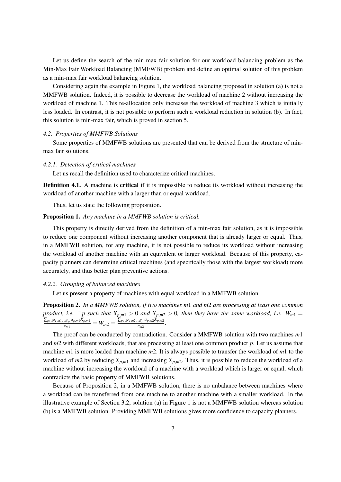Let us define the search of the min-max fair solution for our workload balancing problem as the Min-Max Fair Workload Balancing (MMFWB) problem and define an optimal solution of this problem as a min-max fair workload balancing solution.

Considering again the example in Figure 1, the workload balancing proposed in solution (a) is not a MMFWB solution. Indeed, it is possible to decrease the workload of machine 2 without increasing the workload of machine 1. This re-allocation only increases the workload of machine 3 which is initially less loaded. In contrast, it is not possible to perform such a workload reduction in solution (b). In fact, this solution is min-max fair, which is proved in section 5.

### *4.2. Properties of MMFWB Solutions*

Some properties of MMFWB solutions are presented that can be derived from the structure of minmax fair solutions.

#### *4.2.1. Detection of critical machines*

Let us recall the definition used to characterize critical machines.

Definition 4.1. A machine is critical if it is impossible to reduce its workload without increasing the workload of another machine with a larger than or equal workload.

Thus, let us state the following proposition.

# Proposition 1. *Any machine in a MMFWB solution is critical.*

This property is directly derived from the definition of a min-max fair solution, as it is impossible to reduce one component without increasing another component that is already larger or equal. Thus, in a MMFWB solution, for any machine, it is not possible to reduce its workload without increasing the workload of another machine with an equivalent or larger workload. Because of this property, capacity planners can determine critical machines (and specifically those with the largest workload) more accurately, and thus better plan preventive actions.

# *4.2.2. Grouping of balanced machines*

Let us present a property of machines with equal workload in a MMFWB solution.

Proposition 2. *In a MMFWB solution, if two machines m*1 *and m*2 *are processing at least one common product, i.e.*  $\exists p$  such that  $X_{p,m1} > 0$  and  $X_{p,m2} > 0$ , then they have the same workload, i.e.  $W_{m1} =$  $\sum_{p \in \mathscr{P}}$ ; *m*1∈*M*<sub>p</sub>  $a_{p,m1}X_{p,m1}$  $\frac{M_p a_{p,m1} X_{p,m1}}{c_{m1}} = W_{m2} = \frac{\sum_{p \in \mathscr{P}; \ m2 \in \mathscr{M}_p} a_{p,m2} X_{p,m2}}{c_{m2}}$  $\frac{m_p u_{p,m2} p_{m2}}{c_{m2}}$ .

The proof can be conducted by contradiction. Consider a MMFWB solution with two machines *m*1 and *m*2 with different workloads, that are processing at least one common product *p*. Let us assume that machine *m*1 is more loaded than machine *m*2. It is always possible to transfer the workload of *m*1 to the workload of  $m2$  by reducing  $X_{p,m1}$  and increasing  $X_{p,m2}$ . Thus, it is possible to reduce the workload of a machine without increasing the workload of a machine with a workload which is larger or equal, which contradicts the basic property of MMFWB solutions.

Because of Proposition 2, in a MMFWB solution, there is no unbalance between machines where a workload can be transferred from one machine to another machine with a smaller workload. In the illustrative example of Section 3.2, solution (a) in Figure 1 is not a MMFWB solution whereas solution (b) is a MMFWB solution. Providing MMFWB solutions gives more confidence to capacity planners.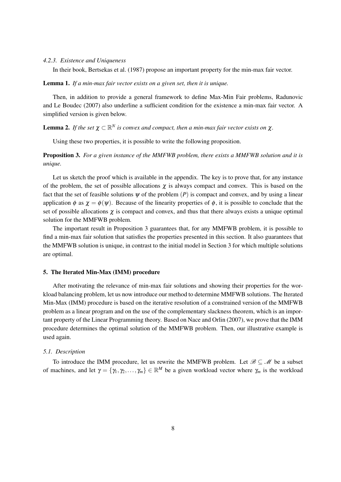### *4.2.3. Existence and Uniqueness*

In their book, Bertsekas et al. (1987) propose an important property for the min-max fair vector.

### Lemma 1. *If a min-max fair vector exists on a given set, then it is unique.*

Then, in addition to provide a general framework to define Max-Min Fair problems, Radunovic and Le Boudec (2007) also underline a sufficient condition for the existence a min-max fair vector. A simplified version is given below.

# **Lemma 2.** If the set  $\chi \subset \mathbb{R}^N$  is convex and compact, then a min-max fair vector exists on  $\chi$ .

Using these two properties, it is possible to write the following proposition.

# Proposition 3. *For a given instance of the MMFWB problem, there exists a MMFWB solution and it is unique.*

Let us sketch the proof which is available in the appendix. The key is to prove that, for any instance of the problem, the set of possible allocations  $\chi$  is always compact and convex. This is based on the fact that the set of feasible solutions  $\psi$  of the problem  $(P)$  is compact and convex, and by using a linear application  $\phi$  as  $\chi = \phi(\psi)$ . Because of the linearity properties of  $\phi$ , it is possible to conclude that the set of possible allocations  $\chi$  is compact and convex, and thus that there always exists a unique optimal solution for the MMFWB problem.

The important result in Proposition 3 guarantees that, for any MMFWB problem, it is possible to find a min-max fair solution that satisfies the properties presented in this section. It also guarantees that the MMFWB solution is unique, in contrast to the initial model in Section 3 for which multiple solutions are optimal.

### 5. The Iterated Min-Max (IMM) procedure

After motivating the relevance of min-max fair solutions and showing their properties for the workload balancing problem, let us now introduce our method to determine MMFWB solutions. The Iterated Min-Max (IMM) procedure is based on the iterative resolution of a constrained version of the MMFWB problem as a linear program and on the use of the complementary slackness theorem, which is an important property of the Linear Programming theory. Based on Nace and Orlin (2007), we prove that the IMM procedure determines the optimal solution of the MMFWB problem. Then, our illustrative example is used again.

### *5.1. Description*

To introduce the IMM procedure, let us rewrite the MMFWB problem. Let  $\mathcal{B} \subseteq \mathcal{M}$  be a subset of machines, and let  $\gamma = \{\gamma_1, \gamma_2, \ldots, \gamma_m\} \in \mathbb{R}^M$  be a given workload vector where  $\gamma_m$  is the workload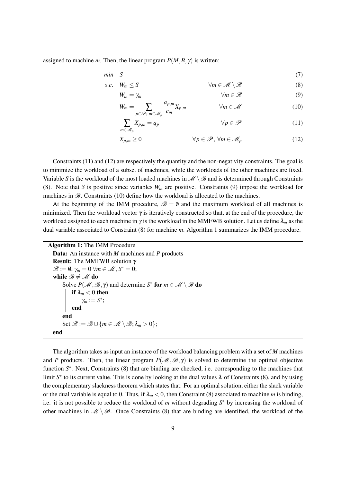assigned to machine *m*. Then, the linear program  $P(M, B, \gamma)$  is written:

$$
min \quad S \tag{7}
$$

$$
S.C. \quad W_m \leq S \qquad \qquad \forall m \in \mathcal{M} \setminus \mathcal{B} \qquad (8)
$$

$$
W_m = \gamma_m \qquad \qquad \forall m \in \mathcal{B} \tag{9}
$$

$$
W_m = \sum_{p \in \mathcal{P}; \ m \in \mathcal{M}_p} \frac{\Delta p, m}{c_m} X_{p,m} \qquad \forall m \in \mathcal{M} \tag{10}
$$

$$
\sum_{m \in \mathcal{M}_p} X_{p,m} = q_p \qquad \qquad \forall p \in \mathcal{P} \tag{11}
$$

$$
X_{p,m} \ge 0 \qquad \forall p \in \mathscr{P}, \ \forall m \in \mathscr{M}_p \tag{12}
$$

Constraints (11) and (12) are respectively the quantity and the non-negativity constraints. The goal is to minimize the workload of a subset of machines, while the workloads of the other machines are fixed. Variable *S* is the workload of the most loaded machines in  $\mathcal{M} \setminus \mathcal{B}$  and is determined through Constraints (8). Note that *S* is positive since variables *W<sup>m</sup>* are positive. Constraints (9) impose the workload for machines in  $\mathcal{B}$ . Constraints (10) define how the workload is allocated to the machines.

At the beginning of the IMM procedure,  $\mathscr{B} = \emptyset$  and the maximum workload of all machines is minimized. Then the workload vector  $\gamma$  is iteratively constructed so that, at the end of the procedure, the workload assigned to each machine in γ is the workload in the MMFWB solution. Let us define λ*<sup>m</sup>* as the dual variable associated to Constraint (8) for machine *m*. Algorithm 1 summarizes the IMM procedure.

# Algorithm 1: The IMM Procedure

```
Data: An instance with M machines and P products
Result: The MMFWB solution γ
\mathscr{B} := \emptyset, \gamma_m = 0 \ \forall m \in \mathscr{M}, S^* = 0;
while \mathscr{B} \neq \mathscr{M} do
      Solve P(\mathcal{M}, \mathcal{B}, \gamma) and determine S^* for m \in \mathcal{M} \setminus \mathcal{B} do
            if \lambda_m < 0 then
                   \gamma_m := S^*;
            end
      end
      Set \mathcal{B} := \mathcal{B} \cup \{m \in \mathcal{M} \setminus \mathcal{B}; \lambda_m > 0\};end
```
The algorithm takes as input an instance of the workload balancing problem with a set of *M* machines and *P* products. Then, the linear program  $P(\mathcal{M}, \mathcal{B}, \gamma)$  is solved to determine the optimal objective function  $S^*$ . Next, Constraints (8) that are binding are checked, i.e. corresponding to the machines that limit  $S^*$  to its current value. This is done by looking at the dual values  $\lambda$  of Constraints (8), and by using the complementary slackness theorem which states that: For an optimal solution, either the slack variable or the dual variable is equal to 0. Thus, if  $\lambda_m < 0$ , then Constraint (8) associated to machine *m* is binding, i.e. it is not possible to reduce the workload of *m* without degrading *S* <sup>∗</sup> by increasing the workload of other machines in  $\mathcal{M} \setminus \mathcal{B}$ . Once Constraints (8) that are binding are identified, the workload of the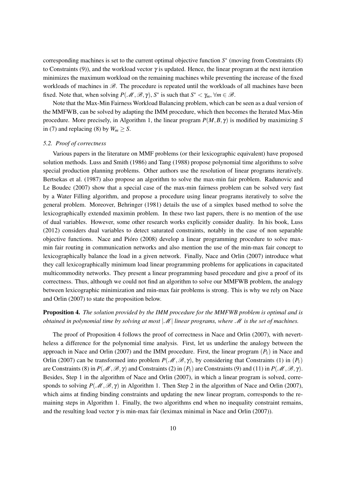corresponding machines is set to the current optimal objective function  $S^*$  (moving from Constraints (8) to Constraints (9)), and the workload vector  $\gamma$  is updated. Hence, the linear program at the next iteration minimizes the maximum workload on the remaining machines while preventing the increase of the fixed workloads of machines in  $\mathscr{B}$ . The procedure is repeated until the workloads of all machines have been fixed. Note that, when solving  $P(\mathcal{M}, \mathcal{B}, \gamma)$ , *S*<sup>\*</sup> is such that  $S^* < \gamma_m$ ,  $\forall m \in \mathcal{B}$ .

Note that the Max-Min Fairness Workload Balancing problem, which can be seen as a dual version of the MMFWB, can be solved by adapting the IMM procedure, which then becomes the Iterated Max-Min procedure. More precisely, in Algorithm 1, the linear program *P*(*M*,*B*, γ) is modified by maximizing *S* in (7) and replacing (8) by  $W_m \geq S$ .

### *5.2. Proof of correctness*

Various papers in the literature on MMF problems (or their lexicographic equivalent) have proposed solution methods. Luss and Smith (1986) and Tang (1988) propose polynomial time algorithms to solve special production planning problems. Other authors use the resolution of linear programs iteratively. Bertsekas et al. (1987) also propose an algorithm to solve the max-min fair problem. Radunovic and Le Boudec (2007) show that a special case of the max-min fairness problem can be solved very fast by a Water Filling algorithm, and propose a procedure using linear programs iteratively to solve the general problem. Moreover, Behringer (1981) details the use of a simplex based method to solve the lexicographically extended maximin problem. In these two last papers, there is no mention of the use of dual variables. However, some other research works explicitly consider duality. In his book, Luss (2012) considers dual variables to detect saturated constraints, notably in the case of non separable objective functions. Nace and Pióro (2008) develop a linear programming procedure to solve maxmin fair routing in communication networks and also mention the use of the min-max fair concept to lexicographically balance the load in a given network. Finally, Nace and Orlin (2007) introduce what they call lexicographically minimum load linear programming problems for applications in capacitated multicommodity networks. They present a linear programming based procedure and give a proof of its correctness. Thus, although we could not find an algorithm to solve our MMFWB problem, the analogy between lexicographic minimization and min-max fair problems is strong. This is why we rely on Nace and Orlin (2007) to state the proposition below.

# Proposition 4. *The solution provided by the IMM procedure for the MMFWB problem is optimal and is obtained in polynomial time by solving at most*  $|\mathcal{M}|$  *linear programs, where*  $\mathcal{M}$  *is the set of machines.*

The proof of Proposition 4 follows the proof of correctness in Nace and Orlin (2007), with nevertheless a difference for the polynomial time analysis. First, let us underline the analogy between the approach in Nace and Orlin (2007) and the IMM procedure. First, the linear program (*P*1) in Nace and Orlin (2007) can be transformed into problem  $P(\mathcal{M}, \mathcal{B}, \gamma)$ , by considering that Constraints (1) in  $(P_1)$ are Constraints (8) in  $P(\mathcal{M}, \mathcal{B}, \gamma)$  and Constraints (2) in  $(P_1)$  are Constraints (9) and (11) in  $P(\mathcal{M}, \mathcal{B}, \gamma)$ . Besides, Step 1 in the algorithm of Nace and Orlin (2007), in which a linear program is solved, corresponds to solving  $P(\mathcal{M}, \mathcal{B}, \gamma)$  in Algorithm 1. Then Step 2 in the algorithm of Nace and Orlin (2007), which aims at finding binding constraints and updating the new linear program, corresponds to the remaining steps in Algorithm 1. Finally, the two algorithms end when no inequality constraint remains, and the resulting load vector  $\gamma$  is min-max fair (leximax minimal in Nace and Orlin (2007)).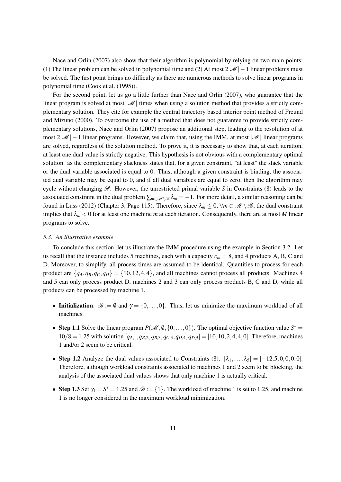Nace and Orlin (2007) also show that their algorithm is polynomial by relying on two main points: (1) The linear problem can be solved in polynomial time and (2) At most  $2|\mathcal{M}|-1$  linear problems must be solved. The first point brings no difficulty as there are numerous methods to solve linear programs in polynomial time (Cook et al. (1995)).

For the second point, let us go a little further than Nace and Orlin (2007), who guarantee that the linear program is solved at most  $\mathcal{M}$  times when using a solution method that provides a strictly complementary solution. They cite for example the central trajectory based interior point method of Freund and Mizuno (2000). To overcome the use of a method that does not guarantee to provide strictly complementary solutions, Nace and Orlin (2007) propose an additional step, leading to the resolution of at most  $2|\mathcal{M}| - 1$  linear programs. However, we claim that, using the IMM, at most  $|\mathcal{M}|$  linear programs are solved, regardless of the solution method. To prove it, it is necessary to show that, at each iteration, at least one dual value is strictly negative. This hypothesis is not obvious with a complementary optimal solution. as the complementary slackness states that, for a given constraint, "at least" the slack variable or the dual variable associated is equal to 0. Thus, although a given constraint is binding, the associated dual variable may be equal to 0, and if all dual variables are equal to zero, then the algorithm may cycle without changing  $\mathscr{B}$ . However, the unrestricted primal variable *S* in Constraints (8) leads to the associated constraint in the dual problem  $\sum_{m \in \mathcal{M}\setminus\mathcal{B}} \lambda_m = -1$ . For more detail, a similar reasoning can be found in Luss (2012) (Chapter 3, Page 115). Therefore, since  $\lambda_m \leq 0$ ,  $\forall m \in \mathcal{M} \setminus \mathcal{B}$ , the dual constraint implies that  $\lambda_m < 0$  for at least one machine *m* at each iteration. Consequently, there are at most *M* linear programs to solve.

#### *5.3. An illustrative example*

To conclude this section, let us illustrate the IMM procedure using the example in Section 3.2. Let us recall that the instance includes 5 machines, each with a capacity  $c_m = 8$ , and 4 products A, B, C and D. Moreover, to simplify, all process times are assumed to be identical. Quantities to process for each product are  $\{q_A, q_B, q_C, q_D\} = \{10, 12, 4, 4\}$ , and all machines cannot process all products. Machines 4 and 5 can only process product D, machines 2 and 3 can only process products B, C and D, while all products can be processed by machine 1.

- Initialization:  $\mathscr{B} := \emptyset$  and  $\gamma = \{0, \ldots, 0\}$ . Thus, let us minimize the maximum workload of all machines.
- Step 1.1 Solve the linear program  $P(M, \emptyset, \{0, \ldots, 0\})$ . The optimal objective function value  $S^*$  $10/8 = 1.25$  with solution  $[q_{A,1}, q_{B,2}, q_{B,3}, q_{C,3}, q_{D,4}, q_{D,5}] = [10, 10, 2, 4, 4, 0]$ . Therefore, machines 1 and/or 2 seem to be critical.
- Step 1.2 Analyze the dual values associated to Constraints (8).  $[\lambda_1, \ldots, \lambda_5] = [-12.5, 0, 0, 0, 0]$ . Therefore, although workload constraints associated to machines 1 and 2 seem to be blocking, the analysis of the associated dual values shows that only machine 1 is actually critical.
- Step 1.3 Set  $\gamma_1 = S^* = 1.25$  and  $\mathcal{B} := \{1\}$ . The workload of machine 1 is set to 1.25, and machine 1 is no longer considered in the maximum workload minimization.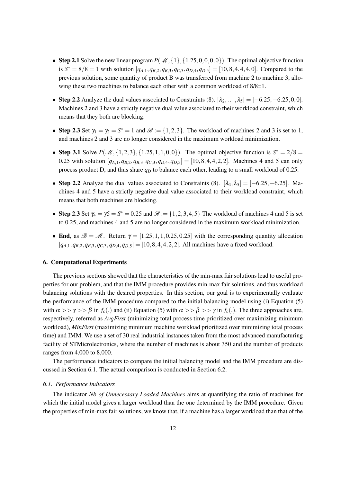- Step 2.1 Solve the new linear program  $P(M, \{1\}, \{1.25, 0, 0, 0, 0\})$ . The optimal objective function is  $S^* = 8/8 = 1$  with solution  $[q_{A,1}, q_{B,2}, q_{B,3}, q_{C,3}, q_{D,4}, q_{D,5}] = [10, 8, 4, 4, 4, 0]$ . Compared to the previous solution, some quantity of product B was transferred from machine 2 to machine 3, allowing these two machines to balance each other with a common workload of 8/8=1.
- Step 2.2 Analyze the dual values associated to Constraints (8).  $[\lambda_2, ..., \lambda_5] = [-6.25, -6.25, 0, 0].$ Machines 2 and 3 have a strictly negative dual value associated to their workload constraint, which means that they both are blocking.
- Step 2.3 Set  $\gamma_1 = \gamma_2 = S^* = 1$  and  $\mathcal{B} := \{1,2,3\}$ . The workload of machines 2 and 3 is set to 1, and machines 2 and 3 are no longer considered in the maximum workload minimization.
- Step 3.1 Solve  $P(M, \{1,2,3\}, \{1.25,1,1,0,0\})$ . The optimal objective function is  $S^* = 2/8$ 0.25 with solution  $[q_{A,1}, q_{B,2}, q_{B,3}, q_{C,3}, q_{D,4}, q_{D,5}] = [10, 8, 4, 4, 2, 2]$ . Machines 4 and 5 can only process product D, and thus share  $q<sub>D</sub>$  to balance each other, leading to a small workload of 0.25.
- Step 2.2 Analyze the dual values associated to Constraints (8).  $[\lambda_4, \lambda_5] = [-6.25, -6.25]$ . Machines 4 and 5 have a strictly negative dual value associated to their workload constraint, which means that both machines are blocking.
- Step 2.3 Set  $\gamma_4 = \gamma_5 = S^* = 0.25$  and  $\mathcal{B} := \{1,2,3,4,5\}$  The workload of machines 4 and 5 is set to 0.25, and machines 4 and 5 are no longer considered in the maximum workload minimization.
- End, as  $\mathscr{B} = \mathscr{M}$ . Return  $\gamma = [1.25, 1, 1, 0.25, 0.25]$  with the corresponding quantity allocation  $[q_{A,1}, q_{B,2}, q_{B,3}, q_{C,3}, q_{D,4}, q_{D,5}] = [10, 8, 4, 4, 2, 2]$ . All machines have a fixed workload.

### 6. Computational Experiments

The previous sections showed that the characteristics of the min-max fair solutions lead to useful properties for our problem, and that the IMM procedure provides min-max fair solutions, and thus workload balancing solutions with the desired properties. In this section, our goal is to experimentally evaluate the performance of the IMM procedure compared to the initial balancing model using (i) Equation (5) with  $\alpha >> \gamma >> \beta$  in  $f_c(.)$  and (ii) Equation (5) with  $\alpha >> \beta >> \gamma$  in  $f_c(.)$ . The three approaches are, respectively, referred as *AvgFirst* (minimizing total process time prioritized over maximizing minimum workload), *MinFirst* (maximizing minimum machine workload prioritized over minimizing total process time) and IMM. We use a set of 30 real industrial instances taken from the most advanced manufacturing facility of STMicrolectronics, where the number of machines is about 350 and the number of products ranges from 4,000 to 8,000.

The performance indicators to compare the initial balancing model and the IMM procedure are discussed in Section 6.1. The actual comparison is conducted in Section 6.2.

# *6.1. Performance Indicators*

The indicator *Nb of Unnecessary Loaded Machines* aims at quantifying the ratio of machines for which the initial model gives a larger workload than the one determined by the IMM procedure. Given the properties of min-max fair solutions, we know that, if a machine has a larger workload than that of the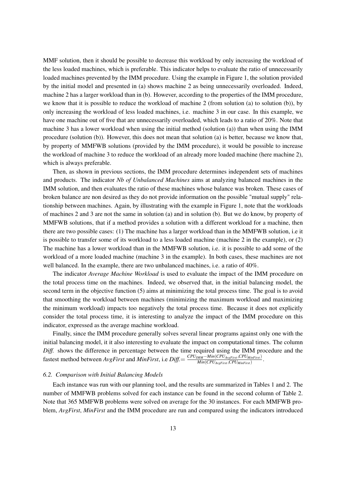MMF solution, then it should be possible to decrease this workload by only increasing the workload of the less loaded machines, which is preferable. This indicator helps to evaluate the ratio of unnecessarily loaded machines prevented by the IMM procedure. Using the example in Figure 1, the solution provided by the initial model and presented in (a) shows machine 2 as being unnecessarily overloaded. Indeed, machine 2 has a larger workload than in (b). However, according to the properties of the IMM procedure, we know that it is possible to reduce the workload of machine 2 (from solution (a) to solution (b)), by only increasing the workload of less loaded machines, i.e. machine 3 in our case. In this example, we have one machine out of five that are unnecessarily overloaded, which leads to a ratio of 20%. Note that machine 3 has a lower workload when using the initial method (solution (a)) than when using the IMM procedure (solution (b)). However, this does not mean that solution (a) is better, because we know that, by property of MMFWB solutions (provided by the IMM procedure), it would be possible to increase the workload of machine 3 to reduce the workload of an already more loaded machine (here machine 2), which is always preferable.

Then, as shown in previous sections, the IMM procedure determines independent sets of machines and products. The indicator *Nb of Unbalanced Machines* aims at analyzing balanced machines in the IMM solution, and then evaluates the ratio of these machines whose balance was broken. These cases of broken balance are non desired as they do not provide information on the possible "mutual supply" relationship between machines. Again, by illustrating with the example in Figure 1, note that the workloads of machines 2 and 3 are not the same in solution (a) and in solution (b). But we do know, by property of MMFWB solutions, that if a method provides a solution with a different workload for a machine, then there are two possible cases: (1) The machine has a larger workload than in the MMFWB solution, i.e it is possible to transfer some of its workload to a less loaded machine (machine 2 in the example), or (2) The machine has a lower workload than in the MMFWB solution, i.e. it is possible to add some of the workload of a more loaded machine (machine 3 in the example). In both cases, these machines are not well balanced. In the example, there are two unbalanced machines, i.e. a ratio of 40%.

The indicator *Average Machine Workload* is used to evaluate the impact of the IMM procedure on the total process time on the machines. Indeed, we observed that, in the initial balancing model, the second term in the objective function (5) aims at minimizing the total process time. The goal is to avoid that smoothing the workload between machines (minimizing the maximum workload and maximizing the minimum workload) impacts too negatively the total process time. Because it does not explicitly consider the total process time, it is interesting to analyze the impact of the IMM procedure on this indicator, expressed as the average machine workload.

Finally, since the IMM procedure generally solves several linear programs against only one with the initial balancing model, it it also interesting to evaluate the impact on computational times. The column *Diff.* shows the difference in percentage between the time required using the IMM procedure and the  $\text{fastest method between } AvgFirst \text{ and } MinFirst, \text{ i.e } Diff. = \frac{CPU_{IMM} - Min(CPU_{AvgFirst}, CPU_{MinFirst})}{Min(CPUL_{KL} - CPL_{MRT})}$  $\frac{M M - M I n (C F U_{AvgFirst}, C P U_{MinFirst})}{M in (CPU_{AvgFirst}, CPU_{MinFirst})}$ .

# *6.2. Comparison with Initial Balancing Models*

Each instance was run with our planning tool, and the results are summarized in Tables 1 and 2. The number of MMFWB problems solved for each instance can be found in the second column of Table 2. Note that 365 MMFWB problems were solved on average for the 30 instances. For each MMFWB problem, *AvgFirst*, *MinFirst* and the IMM procedure are run and compared using the indicators introduced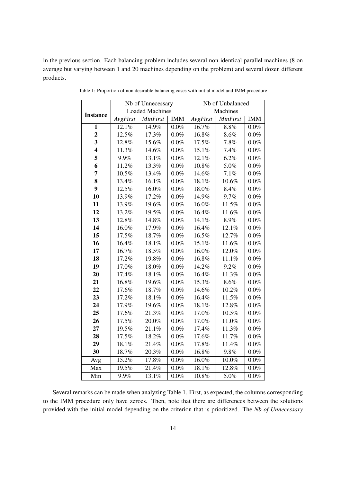in the previous section. Each balancing problem includes several non-identical parallel machines (8 on average but varying between 1 and 20 machines depending on the problem) and several dozen different products.

|                         |                       | Nb of Unnecessary      |            | Nb of Unbalanced      |          |            |  |
|-------------------------|-----------------------|------------------------|------------|-----------------------|----------|------------|--|
| <b>Instance</b>         |                       | <b>Loaded Machines</b> |            | Machines              |          |            |  |
|                         | $\overline{AvgFirst}$ | <b>MinFirst</b>        | <b>IMM</b> | $\overline{AvgFirst}$ | MinFirst | <b>IMM</b> |  |
| $\mathbf{1}$            | 12.1%                 | 14.9%                  | $0.0\%$    | 16.7%                 | $8.8\%$  | $0.0\%$    |  |
| $\overline{2}$          | 12.5%                 | 17.3%                  | $0.0\%$    | 16.8%                 | 8.6%     | $0.0\%$    |  |
| $\overline{\mathbf{3}}$ | 12.8%                 | 15.6%                  | $0.0\%$    | 17.5%                 | 7.8%     | $0.0\%$    |  |
| $\overline{\mathbf{4}}$ | 11.3%                 | 14.6%                  | $0.0\%$    | 15.1%                 | 7.4%     | $0.0\%$    |  |
| 5                       | 9.9%                  | 13.1%                  | $0.0\%$    | 12.1%                 | 6.2%     | $0.0\%$    |  |
| 6                       | 11.2%                 | 13.3%                  | $0.0\%$    | 10.8%                 | 5.0%     | 0.0%       |  |
| 7                       | 10.5%                 | 13.4%                  | $0.0\%$    | 14.6%                 | 7.1%     | $0.0\%$    |  |
| 8                       | 13.4%                 | 16.1%                  | $0.0\%$    | 18.1%                 | 10.6%    | 0.0%       |  |
| 9                       | 12.5%                 | 16.0%                  | $0.0\%$    | 18.0%                 | 8.4%     | 0.0%       |  |
| 10                      | 13.9%                 | 17.2%                  | $0.0\%$    | 14.9%                 | 9.7%     | 0.0%       |  |
| 11                      | 13.9%                 | 19.6%                  | $0.0\%$    | 16.0%                 | 11.5%    | $0.0\%$    |  |
| 12                      | 13.2%                 | 19.5%                  | $0.0\%$    | 16.4%                 | 11.6%    | $0.0\%$    |  |
| 13                      | 12.8%                 | 14.8%                  | $0.0\%$    | 14.1%                 | 8.9%     | $0.0\%$    |  |
| 14                      | 16.0%                 | 17.9%                  | $0.0\%$    | 16.4%                 | 12.1%    | $0.0\%$    |  |
| 15                      | 17.5%                 | 18.7%                  | $0.0\%$    | 16.5%                 | 12.7%    | $0.0\%$    |  |
| 16                      | 16.4%                 | 18.1%                  | $0.0\%$    | 15.1%                 | 11.6%    | $0.0\%$    |  |
| 17                      | 16.7%                 | 18.5%                  | $0.0\%$    | 16.0%                 | 12.0%    | $0.0\%$    |  |
| 18                      | 17.2%                 | 19.8%                  | $0.0\%$    | 16.8%                 | 11.1%    | $0.0\%$    |  |
| 19                      | 17.0%                 | 18.0%                  | $0.0\%$    | 14.2%                 | 9.2%     | $0.0\%$    |  |
| 20                      | 17.4%                 | 18.1%                  | $0.0\%$    | 16.4%                 | 11.3%    | $0.0\%$    |  |
| 21                      | 16.8%                 | 19.6%                  | $0.0\%$    | 15.3%                 | 8.6%     | $0.0\%$    |  |
| 22                      | 17.6%                 | 18.7%                  | $0.0\%$    | 14.6%                 | 10.2%    | $0.0\%$    |  |
| 23                      | 17.2%                 | 18.1%                  | $0.0\%$    | 16.4%                 | 11.5%    | $0.0\%$    |  |
| 24                      | 17.9%                 | 19.6%                  | $0.0\%$    | 18.1%                 | 12.8%    | 0.0%       |  |
| 25                      | 17.6%                 | 21.3%                  | $0.0\%$    | 17.0%                 | 10.5%    | $0.0\%$    |  |
| 26                      | 17.5%                 | 20.0%                  | $0.0\%$    | 17.0%                 | 11.0%    | $0.0\%$    |  |
| 27                      | 19.5%                 | 21.1%                  | $0.0\%$    | 17.4%                 | 11.3%    | $0.0\%$    |  |
| 28                      | 17.5%                 | 18.2%                  | $0.0\%$    | 17.6%                 | 11.7%    | $0.0\%$    |  |
| 29                      | 18.1%                 | 21.4%                  | $0.0\%$    | 17.8%                 | 11.4%    | $0.0\%$    |  |
| 30                      | 18.7%                 | 20.3%                  | $0.0\%$    | 16.8%                 | 9.8%     | $0.0\%$    |  |
| Avg                     | 15.2%                 | 17.8%                  | $0.0\%$    | 16.0%                 | $10.0\%$ | $0.0\%$    |  |
| Max                     | 19.5%                 | 21.4%                  | $0.0\%$    | 18.1%                 | 12.8%    | $0.0\%$    |  |
| Min                     | 9.9%                  | 13.1%                  | $0.0\%$    | 10.8%                 | 5.0%     | $0.0\%$    |  |

Table 1: Proportion of non desirable balancing cases with initial model and IMM procedure

Several remarks can be made when analyzing Table 1. First, as expected, the columns corresponding to the IMM procedure only have zeroes. Then, note that there are differences between the solutions provided with the initial model depending on the criterion that is prioritized. The *Nb of Unnecessary*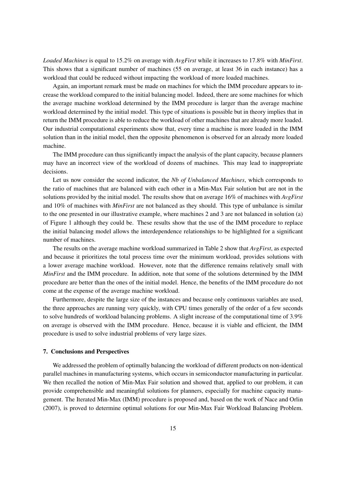*Loaded Machines* is equal to 15.2% on average with *AvgFirst* while it increases to 17.8% with *MinFirst*. This shows that a significant number of machines (55 on average, at least 36 in each instance) has a workload that could be reduced without impacting the workload of more loaded machines.

Again, an important remark must be made on machines for which the IMM procedure appears to increase the workload compared to the initial balancing model. Indeed, there are some machines for which the average machine workload determined by the IMM procedure is larger than the average machine workload determined by the initial model. This type of situations is possible but in theory implies that in return the IMM procedure is able to reduce the workload of other machines that are already more loaded. Our industrial computational experiments show that, every time a machine is more loaded in the IMM solution than in the initial model, then the opposite phenomenon is observed for an already more loaded machine.

The IMM procedure can thus significantly impact the analysis of the plant capacity, because planners may have an incorrect view of the workload of dozens of machines. This may lead to inappropriate decisions.

Let us now consider the second indicator, the *Nb of Unbalanced Machines*, which corresponds to the ratio of machines that are balanced with each other in a Min-Max Fair solution but are not in the solutions provided by the initial model. The results show that on average 16% of machines with *AvgFirst* and 10% of machines with *MinFirst* are not balanced as they should. This type of unbalance is similar to the one presented in our illustrative example, where machines 2 and 3 are not balanced in solution (a) of Figure 1 although they could be. These results show that the use of the IMM procedure to replace the initial balancing model allows the interdependence relationships to be highlighted for a significant number of machines.

The results on the average machine workload summarized in Table 2 show that *AvgFirst*, as expected and because it prioritizes the total process time over the minimum workload, provides solutions with a lower average machine workload. However, note that the difference remains relatively small with *MinFirst* and the IMM procedure. In addition, note that some of the solutions determined by the IMM procedure are better than the ones of the initial model. Hence, the benefits of the IMM procedure do not come at the expense of the average machine workload.

Furthermore, despite the large size of the instances and because only continuous variables are used, the three approaches are running very quickly, with CPU times generally of the order of a few seconds to solve hundreds of workload balancing problems. A slight increase of the computational time of 3.9% on average is observed with the IMM procedure. Hence, because it is viable and efficient, the IMM procedure is used to solve industrial problems of very large sizes.

### 7. Conclusions and Perspectives

We addressed the problem of optimally balancing the workload of different products on non-identical parallel machines in manufacturing systems, which occurs in semiconductor manufacturing in particular. We then recalled the notion of Min-Max Fair solution and showed that, applied to our problem, it can provide comprehensible and meaningful solutions for planners, especially for machine capacity management. The Iterated Min-Max (IMM) procedure is proposed and, based on the work of Nace and Orlin (2007), is proved to determine optimal solutions for our Min-Max Fair Workload Balancing Problem.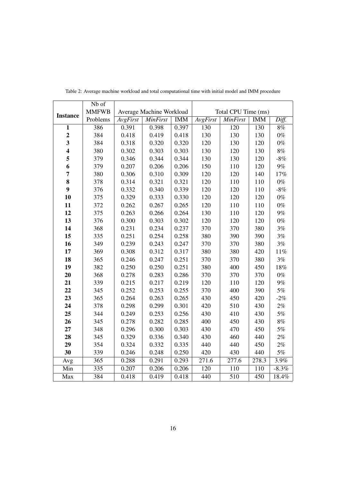|                         | N <sub>b</sub> of |                          |                 |            |                     |                  |            |          |
|-------------------------|-------------------|--------------------------|-----------------|------------|---------------------|------------------|------------|----------|
| <b>Instance</b>         | <b>MMFWB</b>      | Average Machine Workload |                 |            | Total CPU Time (ms) |                  |            |          |
|                         | Problems          | AvgFirst                 | <b>MinFirst</b> | <b>IMM</b> | AvgFirst            | <b>MinFirst</b>  | <b>IMM</b> | Diff.    |
| $\mathbf{1}$            | 386               | 0.391                    | 0.398           | 0.397      | 130                 | 120              | 130        | $8\%$    |
| $\boldsymbol{2}$        | 384               | 0.418                    | 0.419           | 0.418      | 130                 | 130              | 130        | $0\%$    |
| $\overline{\mathbf{3}}$ | 384               | 0.318                    | 0.320           | 0.320      | 120                 | 130              | 120        | $0\%$    |
| $\overline{\mathbf{4}}$ | 380               | 0.302                    | 0.303           | 0.303      | 130                 | 120              | 130        | $8\%$    |
| 5                       | 379               | 0.346                    | 0.344           | 0.344      | 130                 | 130              | 120        | $-8\%$   |
| 6                       | 379               | 0.207                    | 0.206           | 0.206      | 150                 | 110              | 120        | $9\%$    |
| $\overline{7}$          | 380               | 0.306                    | 0.310           | 0.309      | 120                 | 120              | 140        | 17%      |
| 8                       | 378               | 0.314                    | 0.321           | 0.321      | 120                 | 110              | 110        | $0\%$    |
| 9                       | 376               | 0.332                    | 0.340           | 0.339      | 120                 | 120              | 110        | $-8\%$   |
| 10                      | 375               | 0.329                    | 0.333           | 0.330      | 120                 | 120              | 120        | $0\%$    |
| 11                      | 372               | 0.262                    | 0.267           | 0.265      | 120                 | 110              | 110        | $0\%$    |
| 12                      | 375               | 0.263                    | 0.266           | 0.264      | 130                 | 110              | 120        | $9\%$    |
| 13                      | 376               | 0.300                    | 0.303           | 0.302      | 120                 | 120              | 120        | $0\%$    |
| 14                      | 368               | 0.231                    | 0.234           | 0.237      | 370                 | 370              | 380        | 3%       |
| 15                      | 335               | 0.251                    | 0.254           | 0.258      | 380                 | 390              | 390        | 3%       |
| 16                      | 349               | 0.239                    | 0.243           | 0.247      | 370                 | 370              | 380        | 3%       |
| 17                      | 369               | 0.308                    | 0.312           | 0.317      | 380                 | 380              | 420        | $11\%$   |
| 18                      | 365               | 0.246                    | 0.247           | 0.251      | 370                 | 370              | 380        | 3%       |
| 19                      | 382               | 0.250                    | 0.250           | 0.251      | 380                 | 400              | 450        | 18%      |
| 20                      | 368               | 0.278                    | 0.283           | 0.286      | 370                 | 370              | 370        | $0\%$    |
| 21                      | 339               | 0.215                    | 0.217           | 0.219      | 120                 | 110              | 120        | $9\%$    |
| 22                      | 345               | 0.252                    | 0.253           | 0.255      | 370                 | 400              | 390        | 5%       |
| 23                      | 365               | 0.264                    | 0.263           | 0.265      | 430                 | 450              | 420        | $-2%$    |
| 24                      | 378               | 0.298                    | 0.299           | 0.301      | 420                 | 510              | 430        | $2\%$    |
| 25                      | 344               | 0.249                    | 0.253           | 0.256      | 430                 | 410              | 430        | 5%       |
| 26                      | 345               | 0.278                    | 0.282           | 0.285      | 400                 | 450              | 430        | $8\%$    |
| 27                      | 348               | 0.296                    | 0.300           | 0.303      | 430                 | 470              | 450        | $5\%$    |
| 28                      | 345               | 0.329                    | 0.336           | 0.340      | 430                 | 460              | 440        | $2\%$    |
| 29                      | 354               | 0.324                    | 0.332           | 0.335      | 440                 | 440              | 450        | 2%       |
| 30                      | 339               | 0.246                    | 0.248           | 0.250      | 420                 | 430              | 440        | $5\%$    |
| Avg                     | 365               | 0.288                    | 0.291           | 0.293      | $\overline{271.6}$  | 277.6            | 278.3      | 3.9%     |
| Min                     | 335               | 0.207                    | 0.206           | 0.206      | 120                 | 110              | 110        | $-8.3\%$ |
| Max                     | 384               | 0.418                    | 0.419           | 0.418      | 440                 | $\overline{510}$ | 450        | 18.4%    |

Table 2: Average machine workload and total computational time with initial model and IMM procedure

 $\mathbf{I}$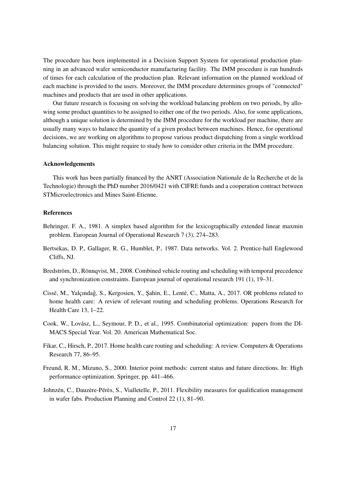The procedure has been implemented in a Decision Support System for operational production planning in an advanced wafer semiconductor manufacturing facility. The IMM procedure is ran hundreds of times for each calculation of the production plan. Relevant information on the planned workload of each machine is provided to the users. Moreover, the IMM procedure determines groups of "connected" machines and products that are used in other applications.

Our future research is focusing on solving the workload balancing problem on two periods, by allowing some product quantities to be assigned to either one of the two periods. Also, for some applications, although a unique solution is determined by the IMM procedure for the workload per machine, there are usually many ways to balance the quantity of a given product between machines. Hence, for operational decisions, we are working on algorithms to propose various product dispatching from a single workload balancing solution. This might require to study how to consider other criteria in the IMM procedure.

# Acknowledgements

This work has been partially financed by the ANRT (Association Nationale de la Recherche et de la Technologie) through the PhD number 2016/0421 with CIFRE funds and a cooperation contract between STMicroelectronics and Mines Saint-Etienne.

# **References**

- Behringer, F. A., 1981. A simplex based algorithm for the lexicographically extended linear maxmin problem. European Journal of Operational Research 7 (3), 274–283.
- Bertsekas, D. P., Gallager, R. G., Humblet, P., 1987. Data networks. Vol. 2. Prentice-hall Englewood Cliffs, NJ.
- Bredström, D., Rönnqvist, M., 2008. Combined vehicle routing and scheduling with temporal precedence and synchronization constraints. European journal of operational research 191 (1), 19–31.
- Cissé, M., Yalçındağ, S., Kergosien, Y., Sahin, E., Lenté, C., Matta, A., 2017. OR problems related to home health care: A review of relevant routing and scheduling problems. Operations Research for Health Care 13, 1–22.
- Cook, W., Lovász, L., Seymour, P. D., et al., 1995. Combinatorial optimization: papers from the DI-MACS Special Year. Vol. 20. American Mathematical Soc.
- Fikar, C., Hirsch, P., 2017. Home health care routing and scheduling: A review. Computers & Operations Research 77, 86–95.
- Freund, R. M., Mizuno, S., 2000. Interior point methods: current status and future directions. In: High performance optimization. Springer, pp. 441–466.
- Johnzén, C., Dauzère-Pérès, S., Vialletelle, P., 2011. Flexibility measures for qualification management in wafer fabs. Production Planning and Control 22 (1), 81–90.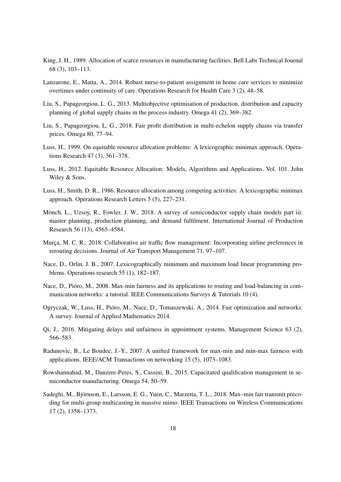- King, J. H., 1989. Allocation of scarce resources in manufacturing facilities. Bell Labs Technical Journal 68 (3), 103–113.
- Lanzarone, E., Matta, A., 2014. Robust nurse-to-patient assignment in home care services to minimize overtimes under continuity of care. Operations Research for Health Care 3 (2), 48–58.
- Liu, S., Papageorgiou, L. G., 2013. Multiobjective optimisation of production, distribution and capacity planning of global supply chains in the process industry. Omega 41 (2), 369–382.
- Liu, S., Papageorgiou, L. G., 2018. Fair profit distribution in multi-echelon supply chains via transfer prices. Omega 80, 77–94.
- Luss, H., 1999. On equitable resource allocation problems: A lexicographic minimax approach. Operations Research 47 (3), 361–378.
- Luss, H., 2012. Equitable Resource Allocation: Models, Algorithms and Applications. Vol. 101. John Wiley & Sons.
- Luss, H., Smith, D. R., 1986. Resource allocation among competing activities: A lexicographic minimax approach. Operations Research Letters 5 (5), 227–231.
- Mönch, L., Uzsoy, R., Fowler, J. W., 2018. A survey of semiconductor supply chain models part iii: master planning, production planning, and demand fulfilment. International Journal of Production Research 56 (13), 4565–4584.
- Murça, M. C. R., 2018. Collaborative air traffic flow management: Incorporating airline preferences in rerouting decisions. Journal of Air Transport Management 71, 97–107.
- Nace, D., Orlin, J. B., 2007. Lexicographically minimum and maximum load linear programming problems. Operations research 55 (1), 182–187.
- Nace, D., Pióro, M., 2008. Max-min fairness and its applications to routing and load-balancing in communication networks: a tutorial. IEEE Communications Surveys & Tutorials 10 (4).
- Ogryczak, W., Luss, H., Pióro, M., Nace, D., Tomaszewski, A., 2014. Fair optimization and networks: A survey. Journal of Applied Mathematics 2014.
- Qi, J., 2016. Mitigating delays and unfairness in appointment systems. Management Science 63 (2), 566–583.
- Radunovic, B., Le Boudec, J.-Y., 2007. A unified framework for max-min and min-max fairness with applications. IEEE/ACM Transactions on networking 15 (5), 1073–1083.
- Rowshannahad, M., Dauzere-Peres, S., Cassini, B., 2015. Capacitated qualification management in semiconductor manufacturing. Omega 54, 50–59.
- Sadeghi, M., Björnson, E., Larsson, E. G., Yuen, C., Marzetta, T. L., 2018. Max–min fair transmit precoding for multi-group multicasting in massive mimo. IEEE Transactions on Wireless Communications 17 (2), 1358–1373.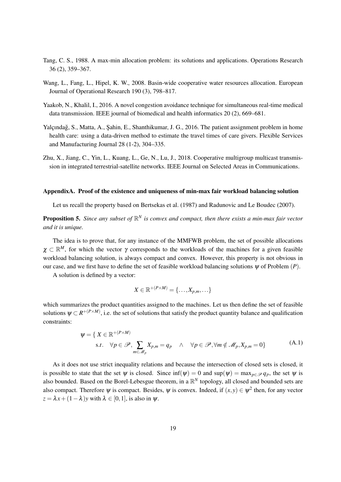- Tang, C. S., 1988. A max-min allocation problem: its solutions and applications. Operations Research 36 (2), 359–367.
- Wang, L., Fang, L., Hipel, K. W., 2008. Basin-wide cooperative water resources allocation. European Journal of Operational Research 190 (3), 798–817.
- Yaakob, N., Khalil, I., 2016. A novel congestion avoidance technique for simultaneous real-time medical data transmission. IEEE journal of biomedical and health informatics 20 (2), 669–681.
- Yalçındağ, S., Matta, A., Şahin, E., Shanthikumar, J. G., 2016. The patient assignment problem in home health care: using a data-driven method to estimate the travel times of care givers. Flexible Services and Manufacturing Journal 28 (1-2), 304–335.
- Zhu, X., Jiang, C., Yin, L., Kuang, L., Ge, N., Lu, J., 2018. Cooperative multigroup multicast transmission in integrated terrestrial-satellite networks. IEEE Journal on Selected Areas in Communications.

### AppendixA. Proof of the existence and uniqueness of min-max fair workload balancing solution

Let us recall the property based on Bertsekas et al. (1987) and Radunovic and Le Boudec (2007).

Proposition 5. *Since any subset of* R *<sup>N</sup> is convex and compact, then there exists a min-max fair vector and it is unique.*

The idea is to prove that, for any instance of the MMFWB problem, the set of possible allocations  $\chi \subset \mathbb{R}^M$ , for which the vector  $\gamma$  corresponds to the workloads of the machines for a given feasible workload balancing solution, is always compact and convex. However, this property is not obvious in our case, and we first have to define the set of feasible workload balancing solutions ψ of Problem (*P*).

A solution is defined by a vector:

$$
X \in \mathbb{R}^{+(P \times M)} = \{\ldots, X_{p,m}, \ldots\}
$$

which summarizes the product quantities assigned to the machines. Let us then define the set of feasible solutions  $\psi \subset R^{+(P \times M)}$ , i.e. the set of solutions that satisfy the product quantity balance and qualification constraints:

$$
\psi = \{ X \in \mathbb{R}^{+(P \times M)} \}\text{s.t. } \forall p \in \mathcal{P}, \sum_{m \in \mathcal{M}_p} X_{p,m} = q_p \quad \wedge \quad \forall p \in \mathcal{P}, \forall m \notin \mathcal{M}_p, X_{p,m} = 0 \}
$$
\n(A.1)

As it does not use strict inequality relations and because the intersection of closed sets is closed, it is possible to state that the set  $\psi$  is closed. Since  $\inf(\psi) = 0$  and  $\sup(\psi) = \max_{p \in \mathcal{P}} q_p$ , the set  $\psi$  is also bounded. Based on the Borel-Lebesgue theorem, in a  $\mathbb{R}^N$  topology, all closed and bounded sets are also compact. Therefore  $\psi$  is compact. Besides,  $\psi$  is convex. Indeed, if  $(x, y) \in \psi^2$  then, for any vector  $z = \lambda x + (1 - \lambda)y$  with  $\lambda \in [0, 1]$ , is also in  $\psi$ .